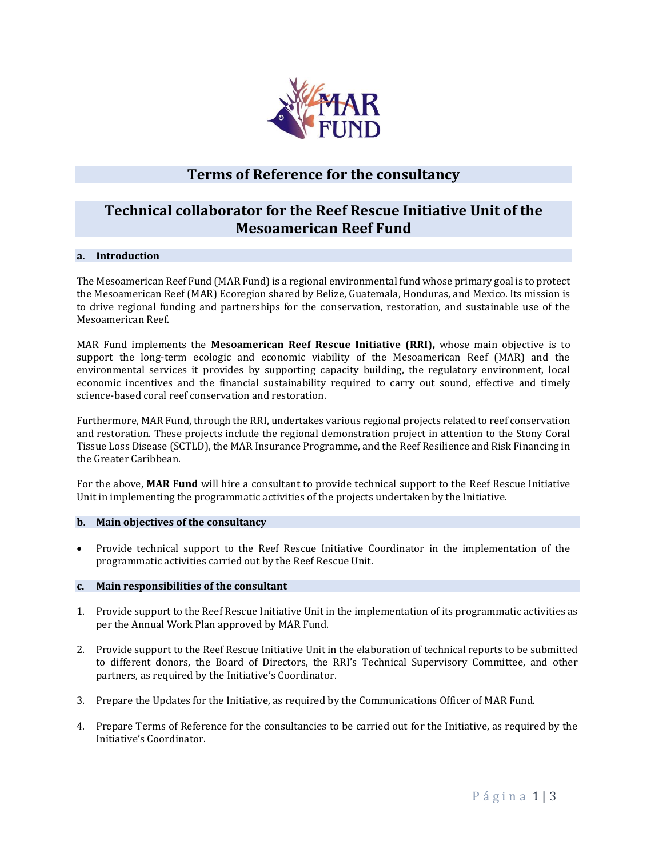

# **Terms of Reference for the consultancy**

# **Technical collaborator for the Reef Rescue Initiative Unit of the Mesoamerican Reef Fund**

### **a. Introduction**

The Mesoamerican Reef Fund (MAR Fund) is a regional environmental fund whose primary goal is to protect the Mesoamerican Reef (MAR) Ecoregion shared by Belize, Guatemala, Honduras, and Mexico. Its mission is to drive regional funding and partnerships for the conservation, restoration, and sustainable use of the Mesoamerican Reef.

MAR Fund implements the **Mesoamerican Reef Rescue Initiative (RRI),** whose main objective is to support the long-term ecologic and economic viability of the Mesoamerican Reef (MAR) and the environmental services it provides by supporting capacity building, the regulatory environment, local economic incentives and the financial sustainability required to carry out sound, effective and timely science-based coral reef conservation and restoration.

Furthermore, MAR Fund, through the RRI, undertakes various regional projects related to reef conservation and restoration. These projects include the regional demonstration project in attention to the Stony Coral Tissue Loss Disease (SCTLD), the MAR Insurance Programme, and the Reef Resilience and Risk Financing in the Greater Caribbean.

For the above, **MAR Fund** will hire a consultant to provide technical support to the Reef Rescue Initiative Unit in implementing the programmatic activities of the projects undertaken by the Initiative.

### **b. Main objectives of the consultancy**

• Provide technical support to the Reef Rescue Initiative Coordinator in the implementation of the programmatic activities carried out by the Reef Rescue Unit.

### **c. Main responsibilities of the consultant**

- 1. Provide support to the Reef Rescue Initiative Unit in the implementation of its programmatic activities as per the Annual Work Plan approved by MAR Fund.
- 2. Provide support to the Reef Rescue Initiative Unit in the elaboration of technical reports to be submitted to different donors, the Board of Directors, the RRI's Technical Supervisory Committee, and other partners, as required by the Initiative's Coordinator.
- 3. Prepare the Updates for the Initiative, as required by the Communications Officer of MAR Fund.
- 4. Prepare Terms of Reference for the consultancies to be carried out for the Initiative, as required by the Initiative's Coordinator.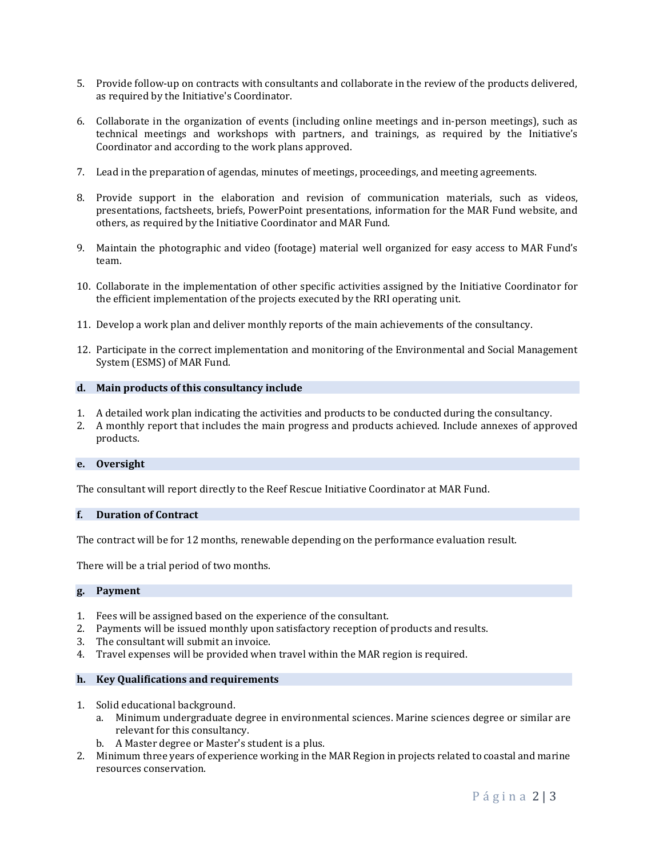- 5. Provide follow-up on contracts with consultants and collaborate in the review of the products delivered, as required by the Initiative's Coordinator.
- 6. Collaborate in the organization of events (including online meetings and in-person meetings), such as technical meetings and workshops with partners, and trainings, as required by the Initiative's Coordinator and according to the work plans approved.
- 7. Lead in the preparation of agendas, minutes of meetings, proceedings, and meeting agreements.
- 8. Provide support in the elaboration and revision of communication materials, such as videos, presentations, factsheets, briefs, PowerPoint presentations, information for the MAR Fund website, and others, as required by the Initiative Coordinator and MAR Fund.
- 9. Maintain the photographic and video (footage) material well organized for easy access to MAR Fund's team.
- 10. Collaborate in the implementation of other specific activities assigned by the Initiative Coordinator for the efficient implementation of the projects executed by the RRI operating unit.
- 11. Develop a work plan and deliver monthly reports of the main achievements of the consultancy.
- 12. Participate in the correct implementation and monitoring of the Environmental and Social Management System (ESMS) of MAR Fund.

### **d. Main products of this consultancy include**

- 1. A detailed work plan indicating the activities and products to be conducted during the consultancy.
- 2. A monthly report that includes the main progress and products achieved. Include annexes of approved products.

### **e. Oversight**

The consultant will report directly to the Reef Rescue Initiative Coordinator at MAR Fund.

### **f. Duration of Contract**

The contract will be for 12 months, renewable depending on the performance evaluation result.

There will be a trial period of two months.

#### **g. Payment**

- 1. Fees will be assigned based on the experience of the consultant.
- 2. Payments will be issued monthly upon satisfactory reception of products and results.
- 3. The consultant will submit an invoice.
- 4. Travel expenses will be provided when travel within the MAR region is required.

#### **h. Key Qualifications and requirements**

- 1. Solid educational background.
	- a. Minimum undergraduate degree in environmental sciences. Marine sciences degree or similar are relevant for this consultancy.
	- b. A Master degree or Master's student is a plus.
- 2. Minimum three years of experience working in the MAR Region in projects related to coastal and marine resources conservation.